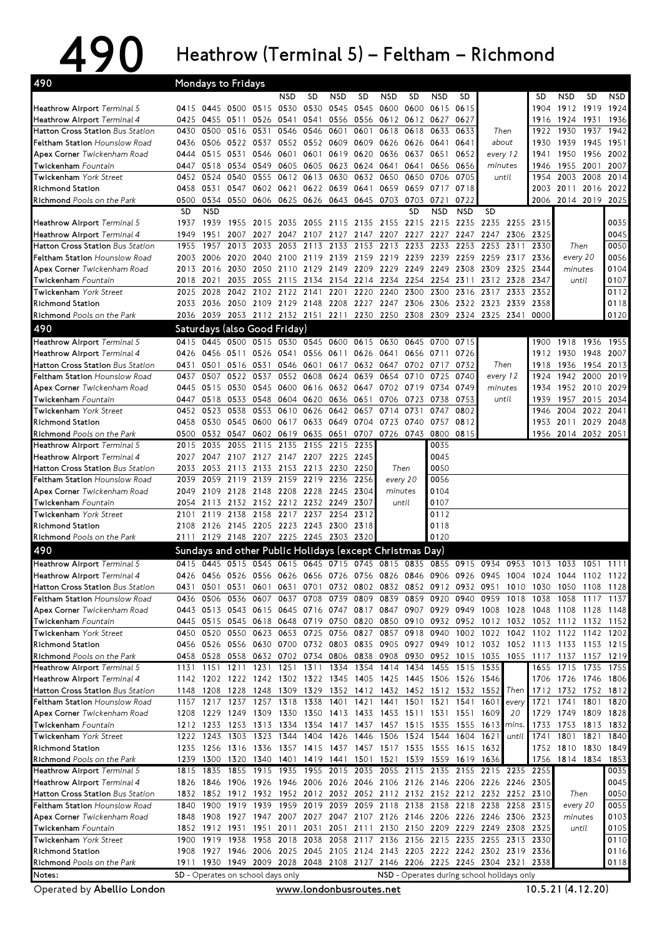## 490 Heathrow (Terminal 5) – Feltham – Richmond

| 490                                                                             |              | Mondays to Fridays     |              |                                         |                   |                     |                     |                   |                                                                                                                                                                                        |                |                |              |                          |              |                          |                     |              |              |
|---------------------------------------------------------------------------------|--------------|------------------------|--------------|-----------------------------------------|-------------------|---------------------|---------------------|-------------------|----------------------------------------------------------------------------------------------------------------------------------------------------------------------------------------|----------------|----------------|--------------|--------------------------|--------------|--------------------------|---------------------|--------------|--------------|
|                                                                                 |              |                        |              |                                         | <b>NSD</b>        | <b>SD</b>           | <b>NSD</b>          | SD                | <b>NSD</b>                                                                                                                                                                             | <b>SD</b>      | <b>NSD</b>     | SD           |                          |              | SD                       | <b>NSD</b>          | <b>SD</b>    | NSD          |
| Heathrow Airport Terminal 5                                                     |              |                        |              | 0415 0445 0500 0515 0530                |                   | 0530                | 0545                | 0545 0600         |                                                                                                                                                                                        | 0600           | 0615           | 0615         |                          |              | 1904                     | 1912                | 1919         | 1924         |
| Heathrow Airport Terminal 4                                                     | 0425         | 0455                   | 0511         | 0526 0541                               |                   | 0541                | 0556                | 0556              | 0612 0612 0627                                                                                                                                                                         |                |                | 0627         |                          |              | 1916                     | 1924                | 1931         | 1936         |
| Hatton Cross Station Bus Station<br><b>Feltham Station Hounslow Road</b>        | 0430<br>0436 | 0500<br>0506           | 0516<br>0522 | 0531<br>0537                            | 0546              | 0546<br>0552 0552   | 0601<br>0609        | 0601<br>0609 0626 | 0618                                                                                                                                                                                   | 0618<br>0626   | 0633<br>0641   | 0633<br>0641 | Then<br>about            |              | 1922<br>1930             | 1930<br>1939        | 1937<br>1945 | 1942<br>1951 |
| Apex Corner Twickenham Road                                                     | 0444         | 0515                   | 0531         | 0546                                    | 0601              | 0601                | 0619                | 0620              | 0636                                                                                                                                                                                   | 0637           | 0651           | 0652         | every 12                 |              | 1941                     | 1950                | 1956         | 2002         |
| Twickenham Fountain                                                             | 0447         | 0518                   | 0534         | 0549                                    |                   | 0605 0605           | 0623                | 0624 0641         |                                                                                                                                                                                        | 0641           | 0656           | 0656         | minutes                  |              | 1946                     | 1955                | 2001         | 2007         |
| <b>Twickenham York Street</b>                                                   | 0452         | 0524                   | 0540         | 0555                                    | 0612              | 0613                | 0630                | 0632              | 0650                                                                                                                                                                                   | 0650           | 0706           | 0705         | until                    |              | 1954                     | 2003                | 2008         | 2014         |
| <b>Richmond Station</b>                                                         | 0458         | 0531                   | 0547         | 0602 0621                               |                   | 0622 0639           |                     | 0641              | 0659                                                                                                                                                                                   | 0659 0717      |                | 0718         |                          |              | 2003                     | 2011                | 2016 2022    |              |
| Richmond Pools on the Park                                                      | 0500         | 0534                   | 0550         | 0606 0625 0626 0643                     |                   |                     |                     | 0645 0703         |                                                                                                                                                                                        | 0703           | 0721           | 0722         |                          |              | 2006                     | 2014 2019 2025      |              |              |
|                                                                                 | <b>SD</b>    | <b>NSD</b>             |              |                                         |                   |                     |                     |                   |                                                                                                                                                                                        | <b>SD</b>      | <b>NSD</b>     | <b>NSD</b>   | <b>SD</b>                |              |                          |                     |              |              |
| Heathrow Airport Terminal 5                                                     | 1937         | 1939                   | 1955         | 2015                                    |                   | 2035 2055 2115      |                     |                   | 2135 2155 2215 2215 2235                                                                                                                                                               |                |                |              | 2235                     | 2255         | 2315                     |                     |              | 0035         |
| Heathrow Airport Terminal 4                                                     | 1949         | 1951                   | 2007<br>2013 | 2027                                    | 2047              | 2107                | 2127                | 2147              | 2207                                                                                                                                                                                   | 2227           | 2227<br>2233   | 2247<br>2253 | 2247                     | 2306<br>2311 | 2325                     |                     |              | 0045         |
| <b>Hatton Cross Station Bus Station</b><br><b>Feltham Station</b> Hounslow Road | 1955<br>2003 | 1957<br>2006 2020      |              | 2033<br>2040                            | 2053<br>2100 2119 | 2113                | 2133<br>2139        | 2153              | 2213<br>2159 2219 2239 2239 2259                                                                                                                                                       | 2233           |                |              | 2253<br>2259             | 2317 2336    | 2330                     | Then<br>every 20    |              | 0050<br>0056 |
| Apex Corner Twickenham Road                                                     | 2013         | 2016                   | 2030         | 2050                                    |                   | 2110 2129           | 2149                | 2209              | 2229                                                                                                                                                                                   | 2249           | 2249           | 2308         | 2309                     | 2325         | 2344                     | minutes             |              | 0104         |
| Twickenham Fountain                                                             | 2018         | 2021                   | 2035         | 2055                                    | 2115              | 2134                | 2154                | 2214 2234         |                                                                                                                                                                                        |                | 2254 2254      | 2311         | 2312 2328                |              | 2347                     | until               |              | 0107         |
| Twickenham York Street                                                          | 2025         | 2028                   | 2042         | 2102                                    | 2122              | 2141                | 2201                | 2220              | 2240                                                                                                                                                                                   | 2300           | 2300           | 2316         | 2317                     | 2333         | 2352                     |                     |              | 0112         |
| <b>Richmond Station</b>                                                         | 2033         | 2036                   |              | 2050 2109 2129 2148 2208                |                   |                     |                     |                   | 2227 2247 2306                                                                                                                                                                         |                | 2306 2322      |              | 2323                     | 2339         | 2358                     |                     |              | 0118         |
| Richmond Pools on the Park                                                      | 2036         | 2039                   |              |                                         |                   |                     |                     |                   | 2053 2112 2132 2151 2211 2230 2250 2308 2309 2324                                                                                                                                      |                |                |              | 2325                     | 2341         | 0000                     |                     |              | 0120         |
| 490                                                                             |              |                        |              | Saturdays (also Good Friday)            |                   |                     |                     |                   |                                                                                                                                                                                        |                |                |              |                          |              |                          |                     |              |              |
| Heathrow Airport Terminal 5                                                     |              | 0415 0445              |              | 0500 0515 0530 0545 0600                |                   |                     |                     | 0615 0630         |                                                                                                                                                                                        | 0645           | 0700           | 0715         |                          |              | 1900                     | 1918                | 1936         | 1955         |
| Heathrow Airport Terminal 4                                                     | 0426         | 0456                   | 0511         | 0526                                    | 0541              |                     | 0556 0611           |                   | 0626 0641                                                                                                                                                                              | 0656 0711      |                | 0726         |                          |              | 1912                     | 1930                | 1948         | 2007         |
| Hatton Cross Station Bus Station                                                | 0431         | 0501                   | 0516 0531    |                                         |                   | 0546 0601           | 0617                |                   | 0632 0647                                                                                                                                                                              |                | 0702 0717      | 0732         | Then                     |              | 1918                     | 1936                | 1954         | 2013         |
| <b>Feltham Station Hounslow Road</b>                                            | 0437         | 0507                   | 0522         | 0537                                    | 0552              | 0608                | 0624                | 0639              | 0654                                                                                                                                                                                   | 0710           | 0725           | 0740         | every 12                 |              | 1924                     | 1942                | 2000         | 2019         |
| Apex Corner Twickenham Road                                                     | 0445         | 0515                   | 0530         | 0545                                    | 0600              | 0616                | 0632 0647           |                   | 0702                                                                                                                                                                                   | 0719 0734      |                | 0749         | minutes                  |              | 1934                     | 1952                | 2010         | 2029         |
| Twickenham Fountain<br><b>Twickenham York Street</b>                            | 0447<br>0452 | 0518<br>0523           | 0533<br>0538 | 0548<br>0553                            | 0604<br>0610      | 0620<br>0626        | 0636<br>0642        | 0651<br>0657      | 0706<br>0714                                                                                                                                                                           | 0723<br>0731   | 0738<br>0747   | 0753<br>0802 | until                    |              | 1939<br>1946             | 1957<br>2004        | 2015<br>2022 | 2034<br>2041 |
| <b>Richmond Station</b>                                                         | 0458         |                        |              | 0530 0545 0600 0617                     |                   | 0633                | 0649                | 0704 0723         |                                                                                                                                                                                        | 0740           | 0757           | 0812         |                          |              | 1953                     | 2011                | 2029         | 2048         |
| Richmond Pools on the Park                                                      | 0500         | 0532                   | 0547         | 0602                                    | 0619              | 0635                | 0651                | 0707              | 0726                                                                                                                                                                                   | 0743           | 0800           | 0815         |                          |              |                          | 1956 2014 2032 2051 |              |              |
| Heathrow Airport Terminal 5                                                     | 2015         | 2035                   | 2055         | 2115                                    | 2135              | 2155                | 2215                | 2235              |                                                                                                                                                                                        |                | 0035           |              |                          |              |                          |                     |              |              |
| Heathrow Airport Terminal 4                                                     | 2027         | 2047                   |              | 2107 2127                               |                   | 2147 2207 2225      |                     | 2245              |                                                                                                                                                                                        |                | 0045           |              |                          |              |                          |                     |              |              |
| Hatton Cross Station Bus Station                                                | 2033         | 2053                   | 2113         | 2133                                    |                   | 2153 2213           | 2230                | 2250              |                                                                                                                                                                                        | Then           | 0050           |              |                          |              |                          |                     |              |              |
| Feltham Station Hounslow Road                                                   | 2039         | 2059                   | 2119         | 2139                                    |                   | 2159 2219           | 2236                | 2256              | every 20                                                                                                                                                                               |                | 0056           |              |                          |              |                          |                     |              |              |
| Apex Corner Twickenham Road                                                     | 2049         |                        |              | 2109 2128 2148 2208 2228                |                   |                     | 2245                | 2304              | minutes                                                                                                                                                                                |                | 0104           |              |                          |              |                          |                     |              |              |
| Twickenham Fountain<br>Twickenham York Street                                   | 2054<br>2101 | 2113<br>2119           | 2138         | 2132 2152 2212 2232 2249<br>2158        | 2217              | 2237                | 2254                | 2307<br>2312      | until                                                                                                                                                                                  |                | 0107<br>0112   |              |                          |              |                          |                     |              |              |
| <b>Richmond Station</b>                                                         | 2108         |                        |              | 2126 2145 2205 2223 2243 2300           |                   |                     |                     | 2318              |                                                                                                                                                                                        |                | 0118           |              |                          |              |                          |                     |              |              |
| Richmond Pools on the Park                                                      |              |                        |              | 2111 2129 2148 2207 2225 2245 2303 2320 |                   |                     |                     |                   |                                                                                                                                                                                        |                | 0120           |              |                          |              |                          |                     |              |              |
| 490                                                                             |              |                        |              |                                         |                   |                     |                     |                   | Sundays and other Public Holidays (except Christmas Day)                                                                                                                               |                |                |              |                          |              |                          |                     |              |              |
| Heathrow Airport Terminal 5                                                     |              |                        |              |                                         |                   |                     |                     |                   | 0415 0445 0515 0545 0615 0645 0715 0745 0815 0835 0855 0915 0934 0953 1013 1033 1051 1111                                                                                              |                |                |              |                          |              |                          |                     |              |              |
| Heathrow Airport Terminal 4                                                     | 0426         | 0456                   | 0526         | 0556                                    | 0626              |                     | 0656 0726 0756 0826 |                   |                                                                                                                                                                                        | 0846 0906      |                | 0926         | 0945                     | 1004         | 1024                     | 1044                | 1102         | 1122         |
| Hatton Cross Station Bus Station                                                |              | 0431 0501              |              | 0531 0601                               |                   | 0631 0701           |                     |                   | 0732 0802 0832 0852 0912 0932 0951                                                                                                                                                     |                |                |              |                          |              | 1010 1030 1050 1108 1128 |                     |              |              |
| Feltham Station Hounslow Road                                                   |              | 0436 0506              | 0536         | 0607                                    |                   | 0637 0708           | 0739                | 0809              | 0839                                                                                                                                                                                   |                | 0859 0920      | 0940         | 0959                     | 1018         | 1038                     | 1058                | 1117         | 1137         |
| Apex Corner Twickenham Road                                                     |              |                        |              |                                         |                   |                     |                     |                   | 0443 0513 0543 0615 0645 0716 0747 0817 0847 0907 0929 0949 1008 1028 1048 1108                                                                                                        |                |                |              |                          |              |                          |                     | 1128 1148    |              |
| Twickenham Fountain                                                             |              |                        |              |                                         |                   |                     |                     |                   | 0445 0515 0545 0618 0648 0719 0750 0820 0850 0910 0932 0952 1012 1032 1052 1112 1132                                                                                                   |                |                |              |                          |              |                          |                     |              | 1152         |
| <b>Twickenham</b> York Street                                                   |              | 0450 0520              | 0550         |                                         | 0623 0653 0725    |                     |                     |                   | 0756 0827 0857 0918 0940                                                                                                                                                               |                |                | 1002         | 1022                     | 1042         | 1102 1122                |                     | 1142         | 1202         |
| <b>Richmond Station</b><br>Richmond Pools on the Park                           |              |                        |              |                                         |                   |                     |                     |                   | 0456 0526 0556 0630 0700 0732 0803 0835 0905 0927 0949 1012 1032 1052 1113 1133 1153 1215<br>0458 0528 0558 0632 0702 0734 0806 0838 0908 0930 0952 1015 1035 1055 1117 1137 1157 1219 |                |                |              |                          |              |                          |                     |              |              |
| Heathrow Airport Terminal 5                                                     | 1131         | 1151                   |              | 1211 1231 1251 1311 1334 1354 1414      |                   |                     |                     |                   |                                                                                                                                                                                        |                | 1434 1455 1515 |              | 1535                     |              | 1655 1715                |                     | 1735         | 1755         |
| Heathrow Airport Terminal 4                                                     |              |                        |              |                                         |                   |                     |                     |                   | 1142 1202 1222 1242 1302 1322 1345 1405 1425 1445 1506 1526 1546                                                                                                                       |                |                |              |                          |              |                          | 1706 1726 1746 1806 |              |              |
| Hatton Cross Station Bus Station                                                | 1148         | 1208                   | 1228         | 1248 1309 1329 1352 1412 1432           |                   |                     |                     |                   |                                                                                                                                                                                        |                |                |              | 1452 1512 1532 1552      | Then         | 1712                     | 1732 1752 1812      |              |              |
| Feltham Station Hounslow Road                                                   | 1157         | 1217                   | 1237         | 1257                                    | 1318 1338         |                     | 1401                | 1421              | 1441                                                                                                                                                                                   | 1501           | 1521           | 1541         | 1601                     | every        | 1721                     | 1741                | 1801         | 1820         |
| Apex Corner Twickenham Road                                                     |              | 1208 1229              |              |                                         |                   |                     |                     |                   | 1249 1309 1330 1350 1413 1433 1453 1511 1531 1551                                                                                                                                      |                |                |              | 1609                     | 20           | 1729                     | 1749                | 1809 1828    |              |
| Twickenham Fountain                                                             |              | 1212 1233              |              |                                         |                   | 1253 1313 1334 1354 |                     |                   | 1417 1437 1457 1515 1535 1555 1613                                                                                                                                                     |                |                |              |                          | mins.        | 1733                     | 1753                | 1813 1832    |              |
| Twickenham York Street                                                          |              |                        |              |                                         |                   |                     |                     |                   |                                                                                                                                                                                        | 1524 1544 1604 |                |              |                          |              |                          |                     |              | 1840         |
|                                                                                 |              | 1222 1243              |              | 1303 1323                               | 1344 1404         |                     | 1426                |                   | 1446 1506                                                                                                                                                                              |                |                |              | 1621                     | until        | 1741                     | 1801                | 1821         |              |
| <b>Richmond Station</b>                                                         |              |                        |              | 1235 1256 1316 1336 1357 1415           |                   |                     |                     |                   | 1437 1457 1517 1535 1555 1615                                                                                                                                                          |                |                |              | 1632                     |              |                          | 1752 1810 1830      |              | 1849         |
| Richmond Pools on the Park                                                      |              | 1239 1300              |              | 1320 1340 1401 1419 1441 1501 1521      |                   |                     |                     |                   |                                                                                                                                                                                        |                | 1539 1559 1619 |              | 1636                     |              |                          | 1756 1814 1834 1853 |              |              |
| Heathrow Airport Terminal 5                                                     |              | 1815 1835              | 1855         | 1915                                    | 1935              |                     | 1955 2015 2035 2055 |                   |                                                                                                                                                                                        |                |                |              | 2115 2135 2155 2215 2235 |              | 2255                     |                     |              | 0035         |
| Heathrow Airport Terminal 4<br>Hatton Cross Station Bus Station                 |              | 1826 1846<br>1832 1852 | 1906<br>1912 | 1926                                    |                   |                     |                     |                   | 1946 2006 2026 2046 2106 2126 2146 2206 2226<br>1932 1952 2012 2032 2052 2112 2132 2152 2212 2232 2252 2310                                                                            |                |                |              |                          | 2246         | 2305                     | Then                |              | 0045<br>0050 |
| Feltham Station Hounslow Road                                                   | 1840         | 1900                   | 1919         | 1939                                    |                   | 1959 2019 2039      |                     |                   | 2059 2118 2138 2158 2218 2238                                                                                                                                                          |                |                |              |                          | 2258 2315    |                          | every 20            |              | 0055         |
| Apex Corner Twickenham Road                                                     |              | 1848 1908              |              | 1927 1947                               |                   |                     |                     |                   | 2007 2027 2047 2107 2126 2146 2206 2226 2246 2306 2323                                                                                                                                 |                |                |              |                          |              |                          | minutes             |              | 0103         |
| Twickenham Fountain                                                             |              | 1852 1912 1931         |              | 1951                                    | 2011              | 2031                |                     |                   | 2051 2111 2130 2150 2209 2229 2249 2308                                                                                                                                                |                |                |              |                          |              | 2325                     | until               |              | 0105         |
| Twickenham York Street                                                          | 1900         | 1919                   | 1938         | 1958                                    |                   | 2018 2038           |                     |                   | 2058 2117 2136 2156 2215 2235 2255                                                                                                                                                     |                |                |              |                          | 2313 2330    |                          |                     |              | 0110         |
| <b>Richmond Station</b>                                                         |              |                        |              |                                         |                   |                     |                     |                   | 1908 1927 1946 2006 2025 2045 2105 2124 2143 2203 2222 2242 2302 2319 2336                                                                                                             |                |                |              |                          |              |                          |                     |              | 0116         |
| Richmond Pools on the Park<br>Notes:                                            |              |                        |              | SD - Operates on school days only       |                   |                     |                     |                   | 1911 1930 1949 2009 2028 2048 2108 2127 2146 2206 2225 2245 2304 2321 2338<br>NSD - Operates during school holidays only                                                               |                |                |              |                          |              |                          |                     |              | 0118         |